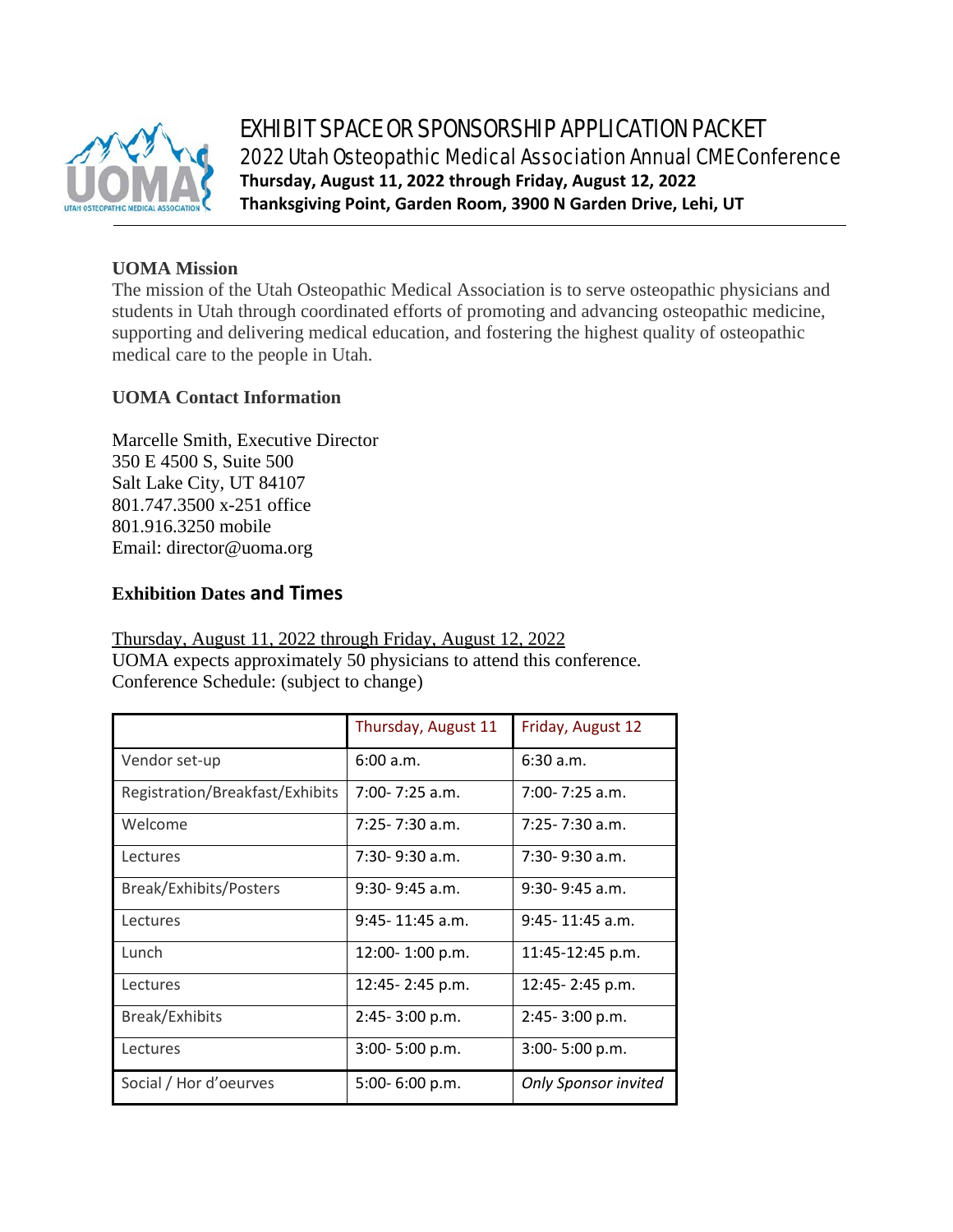

# EXHIBIT SPACE OR SPONSORSHIP APPLICATION PACKET 2022 Utah Osteopathic Medical Association Annual CME Conference **Thursday, August 11, 2022 through Friday, August 12, 2022 Thanksgiving Point, Garden Room, 3900 N Garden Drive, Lehi, UT**

## **UOMA Mission**

The mission of the Utah Osteopathic Medical Association is to serve osteopathic physicians and students in Utah through coordinated efforts of promoting and advancing osteopathic medicine, supporting and delivering medical education, and fostering the highest quality of osteopathic medical care to the people in Utah.

### **UOMA Contact Information**

Marcelle Smith, Executive Director 350 E 4500 S, Suite 500 Salt Lake City, UT 84107 801.747.3500 x-251 office 801.916.3250 mobile Email: director@uoma.org

## **Exhibition Dates and Times**

Thursday, August 11, 2022 through Friday, August 12, 2022 UOMA expects approximately 50 physicians to attend this conference. Conference Schedule: (subject to change)

|                                 | Thursday, August 11 | Friday, August 12    |  |
|---------------------------------|---------------------|----------------------|--|
| Vendor set-up                   | 6:00 a.m.           | 6:30a.m.             |  |
| Registration/Breakfast/Exhibits | $7:00 - 7:25$ a.m.  | 7:00-7:25 a.m.       |  |
| Welcome                         | 7:25-7:30 a.m.      | 7:25-7:30 a.m.       |  |
| Lectures                        | $7:30-9:30$ a.m.    | $7:30-9:30$ a.m.     |  |
| Break/Exhibits/Posters          | $9:30-9:45$ a.m.    | $9:30 - 9:45$ a.m.   |  |
| Lectures                        | $9:45 - 11:45$ a.m. | $9:45 - 11:45$ a.m.  |  |
| Lunch                           | 12:00-1:00 p.m.     | 11:45-12:45 p.m.     |  |
| Lectures                        | 12:45-2:45 p.m.     | 12:45-2:45 p.m.      |  |
| <b>Break/Exhibits</b>           | 2:45-3:00 p.m.      | 2:45-3:00 p.m.       |  |
| Lectures                        | $3:00 - 5:00 p.m.$  | 3:00-5:00 p.m.       |  |
| Social / Hor d'oeurves          | 5:00-6:00 p.m.      | Only Sponsor invited |  |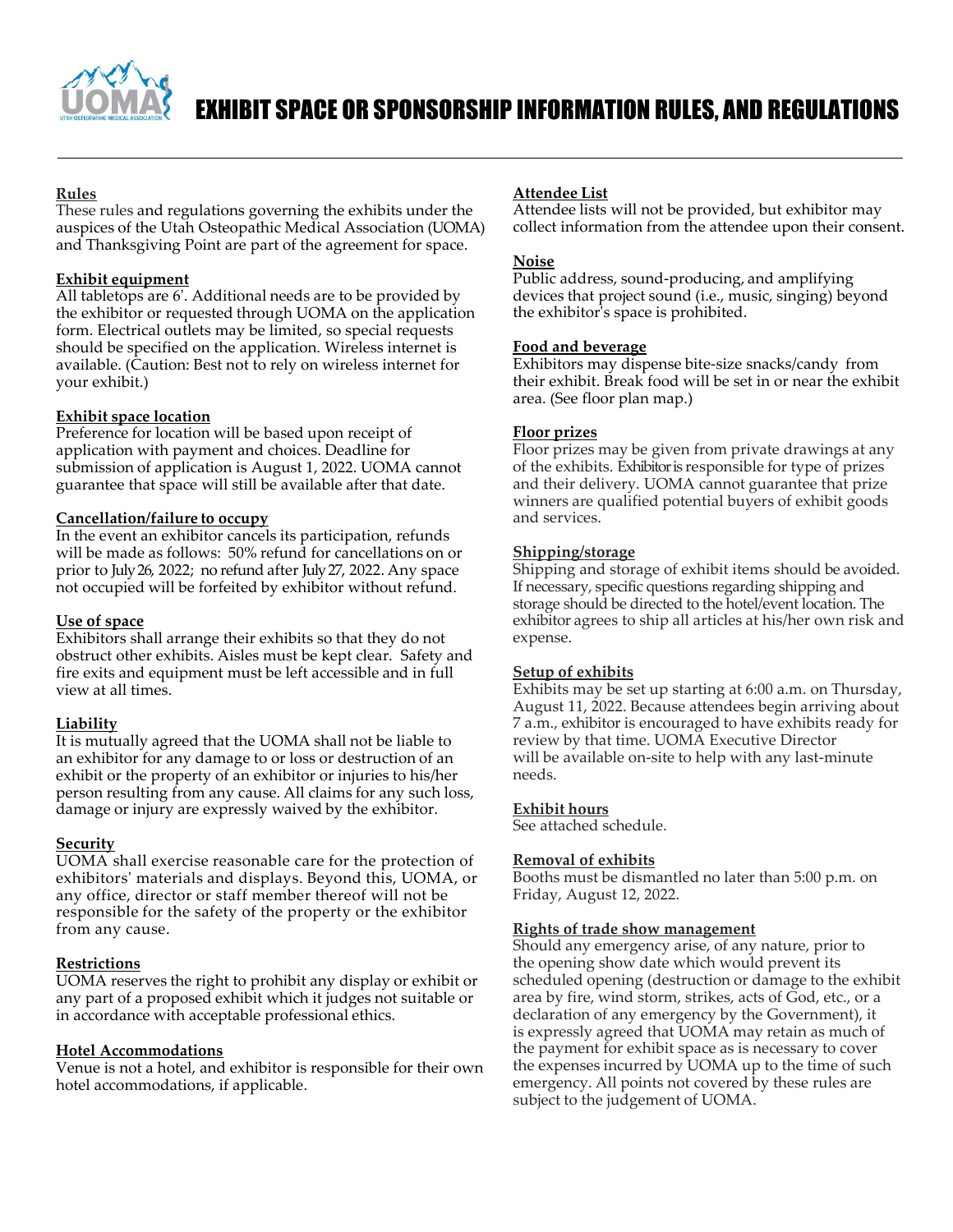

#### **Rules**

These rules and regulations governing the exhibits under the auspices of the Utah Osteopathic Medical Association (UOMA) and Thanksgiving Point are part of the agreement for space.

#### **Exhibit equipment**

All tabletops are 6'. Additional needs are to be provided by the exhibitor or requested through UOMA on the application form. Electrical outlets may be limited, so special requests should be specified on the application. Wireless internet is available. (Caution: Best not to rely on wireless internet for your exhibit.)

#### **Exhibit space location**

Preference for location will be based upon receipt of application with payment and choices. Deadline for submission of application is August 1, 2022. UOMA cannot guarantee that space will still be available after that date.

#### **Cancellation/failure to occupy**

In the event an exhibitor cancels its participation, refunds will be made as follows: 50% refund for cancellations on or prior to July 26, 2022; no refund after July 27, 2022. Any space not occupied will be forfeited by exhibitor without refund.

#### **Use of space**

Exhibitors shall arrange their exhibits so that they do not obstruct other exhibits. Aisles must be kept clear. Safety and fire exits and equipment must be left accessible and in full view at all times.

#### **Liability**

It is mutually agreed that the UOMA shall not be liable to an exhibitor for any damage to or loss or destruction of an exhibit or the property of an exhibitor or injuries to his/her person resulting from any cause. All claims for any such loss, damage or injury are expressly waived by the exhibitor.

#### **Security**

UOMA shall exercise reasonable care for the protection of exhibitors' materials and displays. Beyond this, UOMA, or any office, director or staff member thereof will not be responsible for the safety of the property or the exhibitor from any cause.

#### **Restrictions**

UOMA reserves the right to prohibit any display or exhibit or any part of a proposed exhibit which it judges not suitable or in accordance with acceptable professional ethics.

#### **Hotel Accommodations**

Venue is not a hotel, and exhibitor is responsible for their own hotel accommodations, if applicable.

### **Attendee List**

Attendee lists will not be provided, but exhibitor may collect information from the attendee upon their consent.

#### **Noise**

Public address, sound-producing, and amplifying devices that project sound (i.e., music, singing) beyond the exhibitor's space is prohibited.

#### **Food and beverage**

Exhibitors may dispense bite-size snacks/candy from their exhibit. Break food will be set in or near the exhibit area. (See floor plan map.)

#### **Floor prizes**

Floor prizes may be given from private drawings at any of the exhibits. Exhibitor is responsible for type of prizes and their delivery. UOMA cannot guarantee that prize winners are qualified potential buyers of exhibit goods and services.

#### **Shipping/storage**

Shipping and storage of exhibit items should be avoided. If necessary, specific questions regarding shipping and storage should be directed to the hotel/event location. The exhibitor agrees to ship all articles at his/her own risk and expense.

#### **Setup of exhibits**

Exhibits may be set up starting at 6:00 a.m. on Thursday, August 11, 2022. Because attendees begin arriving about 7 a.m., exhibitor is encouraged to have exhibits ready for review by that time. UOMA Executive Director will be available on-site to help with any last-minute needs.

#### **Exhibit hours**

See attached schedule.

#### **Removal of exhibits**

Booths must be dismantled no later than 5:00 p.m. on Friday, August 12, 2022.

#### **Rights of trade show management**

Should any emergency arise, of any nature, prior to the opening show date which would prevent its scheduled opening (destruction or damage to the exhibit area by fire, wind storm, strikes, acts of God, etc., or a declaration of any emergency by the Government), it is expressly agreed that UOMA may retain as much of the payment for exhibit space as is necessary to cover the expenses incurred by UOMA up to the time of such emergency. All points not covered by these rules are subject to the judgement of UOMA.